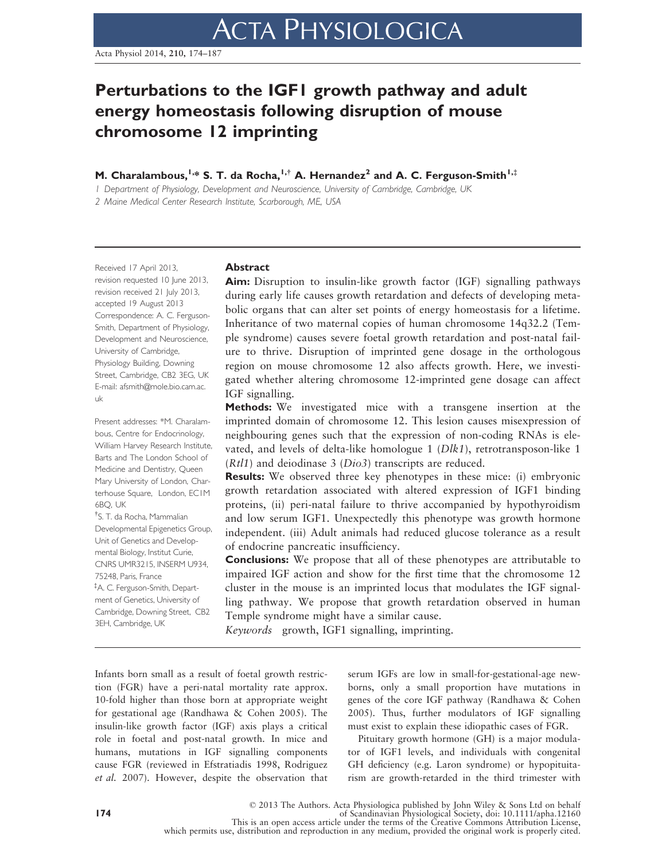# Perturbations to the IGF1 growth pathway and adult energy homeostasis following disruption of mouse chromosome 12 imprinting

M. Charalambous,<sup>1,\*</sup> S. T. da Rocha,<sup>1,†</sup> A. Hernandez<sup>2</sup> and A. C. Ferguson-Smith<sup>1,‡</sup>

1 Department of Physiology, Development and Neuroscience, University of Cambridge, Cambridge, UK

2 Maine Medical Center Research Institute, Scarborough, ME, USA

Received 17 April 2013, revision requested 10 June 2013, revision received 21 July 2013, accepted 19 August 2013 Correspondence: A. C. Ferguson-Smith, Department of Physiology, Development and Neuroscience, University of Cambridge, Physiology Building, Downing Street, Cambridge, CB2 3EG, UK E-mail: afsmith@mole.bio.cam.ac. uk

Present addresses: \*M. Charalambous, Centre for Endocrinology, William Harvey Research Institute, Barts and The London School of Medicine and Dentistry, Queen Mary University of London, Charterhouse Square, London, EC1M 6BQ, UK

† S. T. da Rocha, Mammalian Developmental Epigenetics Group, Unit of Genetics and Developmental Biology, Institut Curie, CNRS UMR3215, INSERM U934, 75248, Paris, France ‡ A. C. Ferguson-Smith, Depart-

ment of Genetics, University of Cambridge, Downing Street, CB2 3EH, Cambridge, UK

## Abstract

Aim: Disruption to insulin-like growth factor (IGF) signalling pathways during early life causes growth retardation and defects of developing metabolic organs that can alter set points of energy homeostasis for a lifetime. Inheritance of two maternal copies of human chromosome 14q32.2 (Temple syndrome) causes severe foetal growth retardation and post-natal failure to thrive. Disruption of imprinted gene dosage in the orthologous region on mouse chromosome 12 also affects growth. Here, we investigated whether altering chromosome 12-imprinted gene dosage can affect IGF signalling.

Methods: We investigated mice with a transgene insertion at the imprinted domain of chromosome 12. This lesion causes misexpression of neighbouring genes such that the expression of non-coding RNAs is elevated, and levels of delta-like homologue 1 ( $Dlk1$ ), retrotransposon-like 1 (Rtl1) and deiodinase 3 (Dio3) transcripts are reduced.

**Results:** We observed three key phenotypes in these mice: (i) embryonic growth retardation associated with altered expression of IGF1 binding proteins, (ii) peri-natal failure to thrive accompanied by hypothyroidism and low serum IGF1. Unexpectedly this phenotype was growth hormone independent. (iii) Adult animals had reduced glucose tolerance as a result of endocrine pancreatic insufficiency.

Conclusions: We propose that all of these phenotypes are attributable to impaired IGF action and show for the first time that the chromosome 12 cluster in the mouse is an imprinted locus that modulates the IGF signalling pathway. We propose that growth retardation observed in human Temple syndrome might have a similar cause.

Keywords growth, IGF1 signalling, imprinting.

Infants born small as a result of foetal growth restriction (FGR) have a peri-natal mortality rate approx. 10-fold higher than those born at appropriate weight for gestational age (Randhawa & Cohen 2005). The insulin-like growth factor (IGF) axis plays a critical role in foetal and post-natal growth. In mice and humans, mutations in IGF signalling components cause FGR (reviewed in Efstratiadis 1998, Rodriguez et al. 2007). However, despite the observation that serum IGFs are low in small-for-gestational-age newborns, only a small proportion have mutations in genes of the core IGF pathway (Randhawa & Cohen 2005). Thus, further modulators of IGF signalling must exist to explain these idiopathic cases of FGR.

Pituitary growth hormone (GH) is a major modulator of IGF1 levels, and individuals with congenital GH deficiency (e.g. Laron syndrome) or hypopituitarism are growth-retarded in the third trimester with

This is an open access article under the terms of the Creative Commons Attribution License, which permits use, distribution and reproduction in any medium, provided the original work is properly cited.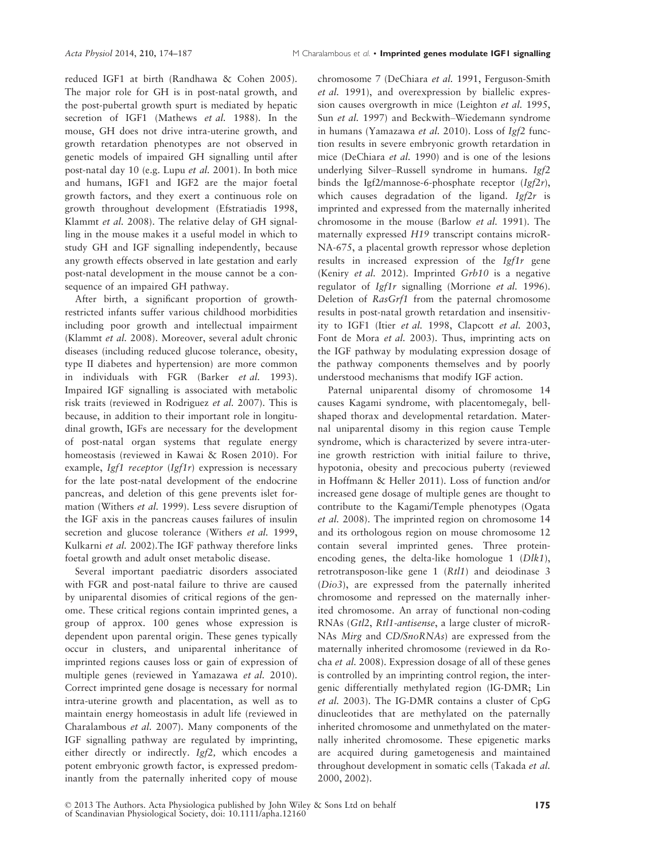reduced IGF1 at birth (Randhawa & Cohen 2005). The major role for GH is in post-natal growth, and the post-pubertal growth spurt is mediated by hepatic secretion of IGF1 (Mathews et al. 1988). In the mouse, GH does not drive intra-uterine growth, and growth retardation phenotypes are not observed in genetic models of impaired GH signalling until after post-natal day 10 (e.g. Lupu et al. 2001). In both mice and humans, IGF1 and IGF2 are the major foetal growth factors, and they exert a continuous role on growth throughout development (Efstratiadis 1998, Klammt et al. 2008). The relative delay of GH signalling in the mouse makes it a useful model in which to study GH and IGF signalling independently, because any growth effects observed in late gestation and early post-natal development in the mouse cannot be a consequence of an impaired GH pathway.

After birth, a significant proportion of growthrestricted infants suffer various childhood morbidities including poor growth and intellectual impairment (Klammt et al. 2008). Moreover, several adult chronic diseases (including reduced glucose tolerance, obesity, type II diabetes and hypertension) are more common in individuals with FGR (Barker et al. 1993). Impaired IGF signalling is associated with metabolic risk traits (reviewed in Rodriguez et al. 2007). This is because, in addition to their important role in longitudinal growth, IGFs are necessary for the development of post-natal organ systems that regulate energy homeostasis (reviewed in Kawai & Rosen 2010). For example, Igf1 receptor  $(Igf1r)$  expression is necessary for the late post-natal development of the endocrine pancreas, and deletion of this gene prevents islet formation (Withers et al. 1999). Less severe disruption of the IGF axis in the pancreas causes failures of insulin secretion and glucose tolerance (Withers *et al.* 1999, Kulkarni et al. 2002).The IGF pathway therefore links foetal growth and adult onset metabolic disease.

Several important paediatric disorders associated with FGR and post-natal failure to thrive are caused by uniparental disomies of critical regions of the genome. These critical regions contain imprinted genes, a group of approx. 100 genes whose expression is dependent upon parental origin. These genes typically occur in clusters, and uniparental inheritance of imprinted regions causes loss or gain of expression of multiple genes (reviewed in Yamazawa et al. 2010). Correct imprinted gene dosage is necessary for normal intra-uterine growth and placentation, as well as to maintain energy homeostasis in adult life (reviewed in Charalambous et al. 2007). Many components of the IGF signalling pathway are regulated by imprinting, either directly or indirectly. Igf2, which encodes a potent embryonic growth factor, is expressed predominantly from the paternally inherited copy of mouse chromosome 7 (DeChiara et al. 1991, Ferguson-Smith et al. 1991), and overexpression by biallelic expression causes overgrowth in mice (Leighton et al. 1995, Sun et al. 1997) and Beckwith–Wiedemann syndrome in humans (Yamazawa et al. 2010). Loss of Igf2 function results in severe embryonic growth retardation in mice (DeChiara et al. 1990) and is one of the lesions underlying Silver–Russell syndrome in humans. Igf2 binds the Igf2/mannose-6-phosphate receptor  $(Igf2r)$ , which causes degradation of the ligand.  $Igf2r$  is imprinted and expressed from the maternally inherited chromosome in the mouse (Barlow et al. 1991). The maternally expressed H19 transcript contains microR-NA-675, a placental growth repressor whose depletion results in increased expression of the  $Igf1r$  gene (Keniry et al. 2012). Imprinted Grb10 is a negative regulator of Igf1r signalling (Morrione et al. 1996). Deletion of RasGrf1 from the paternal chromosome results in post-natal growth retardation and insensitivity to IGF1 (Itier et al. 1998, Clapcott et al. 2003, Font de Mora et al. 2003). Thus, imprinting acts on the IGF pathway by modulating expression dosage of the pathway components themselves and by poorly understood mechanisms that modify IGF action.

Paternal uniparental disomy of chromosome 14 causes Kagami syndrome, with placentomegaly, bellshaped thorax and developmental retardation. Maternal uniparental disomy in this region cause Temple syndrome, which is characterized by severe intra-uterine growth restriction with initial failure to thrive, hypotonia, obesity and precocious puberty (reviewed in Hoffmann & Heller 2011). Loss of function and/or increased gene dosage of multiple genes are thought to contribute to the Kagami/Temple phenotypes (Ogata et al. 2008). The imprinted region on chromosome 14 and its orthologous region on mouse chromosome 12 contain several imprinted genes. Three proteinencoding genes, the delta-like homologue 1 (Dlk1), retrotransposon-like gene 1 (Rtl1) and deiodinase 3 (Dio3), are expressed from the paternally inherited chromosome and repressed on the maternally inherited chromosome. An array of functional non-coding RNAs (Gtl2, Rtl1-antisense, a large cluster of microR-NAs Mirg and CD/SnoRNAs) are expressed from the maternally inherited chromosome (reviewed in da Rocha et al. 2008). Expression dosage of all of these genes is controlled by an imprinting control region, the intergenic differentially methylated region (IG-DMR; Lin et al. 2003). The IG-DMR contains a cluster of CpG dinucleotides that are methylated on the paternally inherited chromosome and unmethylated on the maternally inherited chromosome. These epigenetic marks are acquired during gametogenesis and maintained throughout development in somatic cells (Takada et al. 2000, 2002).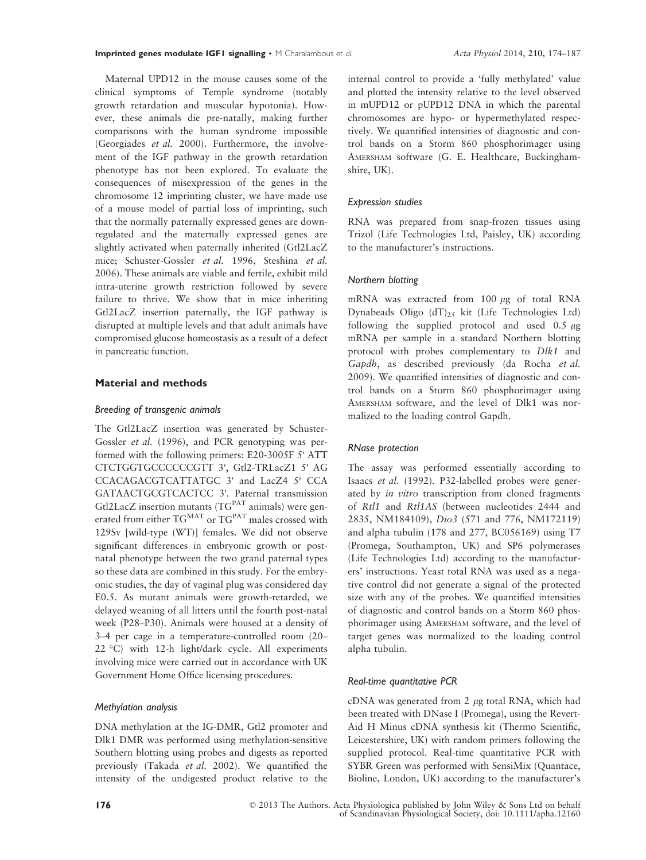Maternal UPD12 in the mouse causes some of the clinical symptoms of Temple syndrome (notably growth retardation and muscular hypotonia). However, these animals die pre-natally, making further comparisons with the human syndrome impossible (Georgiades et al. 2000). Furthermore, the involvement of the IGF pathway in the growth retardation phenotype has not been explored. To evaluate the consequences of misexpression of the genes in the chromosome 12 imprinting cluster, we have made use of a mouse model of partial loss of imprinting, such that the normally paternally expressed genes are downregulated and the maternally expressed genes are slightly activated when paternally inherited (Gtl2LacZ mice; Schuster-Gossler et al. 1996, Steshina et al. 2006). These animals are viable and fertile, exhibit mild intra-uterine growth restriction followed by severe failure to thrive. We show that in mice inheriting Gtl2LacZ insertion paternally, the IGF pathway is disrupted at multiple levels and that adult animals have compromised glucose homeostasis as a result of a defect in pancreatic function.

## Material and methods

#### Breeding of transgenic animals

The Gtl2LacZ insertion was generated by Schuster-Gossler et al. (1996), and PCR genotyping was performed with the following primers: E20-3005F 5′ ATT CTCTGGTGCCCCCCGTT 3′, Gtl2-TRLacZ1 5′ AG CCACAGACGTCATTATGC 3′ and LacZ4 5′ CCA GATAACTGCGTCACTCC 3′. Paternal transmission Gtl2LacZ insertion mutants ( $TG<sup>PAT</sup>$  animals) were generated from either TG<sup>MAT</sup> or TG<sup>PAT</sup> males crossed with 129Sv [wild-type (WT)] females. We did not observe significant differences in embryonic growth or postnatal phenotype between the two grand paternal types so these data are combined in this study. For the embryonic studies, the day of vaginal plug was considered day E0.5. As mutant animals were growth-retarded, we delayed weaning of all litters until the fourth post-natal week (P28–P30). Animals were housed at a density of 3–4 per cage in a temperature-controlled room (20– 22 °C) with 12-h light/dark cycle. All experiments involving mice were carried out in accordance with UK Government Home Office licensing procedures.

#### Methylation analysis

DNA methylation at the IG-DMR, Gtl2 promoter and Dlk1 DMR was performed using methylation-sensitive Southern blotting using probes and digests as reported previously (Takada et al. 2002). We quantified the intensity of the undigested product relative to the internal control to provide a 'fully methylated' value and plotted the intensity relative to the level observed in mUPD12 or pUPD12 DNA in which the parental chromosomes are hypo- or hypermethylated respectively. We quantified intensities of diagnostic and control bands on a Storm 860 phosphorimager using AMERSHAM software (G. E. Healthcare, Buckinghamshire, UK).

#### Expression studies

RNA was prepared from snap-frozen tissues using Trizol (Life Technologies Ltd, Paisley, UK) according to the manufacturer's instructions.

#### Northern blotting

mRNA was extracted from  $100 \mu g$  of total RNA Dynabeads Oligo  $(dT)_2$ <sub>5</sub> kit (Life Technologies Ltd) following the supplied protocol and used  $0.5 \mu$ g mRNA per sample in a standard Northern blotting protocol with probes complementary to Dlk1 and Gapdh, as described previously (da Rocha et al. 2009). We quantified intensities of diagnostic and control bands on a Storm 860 phosphorimager using AMERSHAM software, and the level of Dlk1 was normalized to the loading control Gapdh.

#### RNase protection

The assay was performed essentially according to Isaacs et al. (1992). P32-labelled probes were generated by in vitro transcription from cloned fragments of Rtl1 and Rtl1AS (between nucleotides 2444 and 2835, NM184109), Dio3 (571 and 776, NM172119) and alpha tubulin (178 and 277, BC056169) using T7 (Promega, Southampton, UK) and SP6 polymerases (Life Technologies Ltd) according to the manufacturers' instructions. Yeast total RNA was used as a negative control did not generate a signal of the protected size with any of the probes. We quantified intensities of diagnostic and control bands on a Storm 860 phosphorimager using AMERSHAM software, and the level of target genes was normalized to the loading control alpha tubulin.

## Real-time quantitative PCR

cDNA was generated from 2  $\mu$ g total RNA, which had been treated with DNase I (Promega), using the Revert-Aid H Minus cDNA synthesis kit (Thermo Scientific, Leicestershire, UK) with random primers following the supplied protocol. Real-time quantitative PCR with SYBR Green was performed with SensiMix (Quantace, Bioline, London, UK) according to the manufacturer's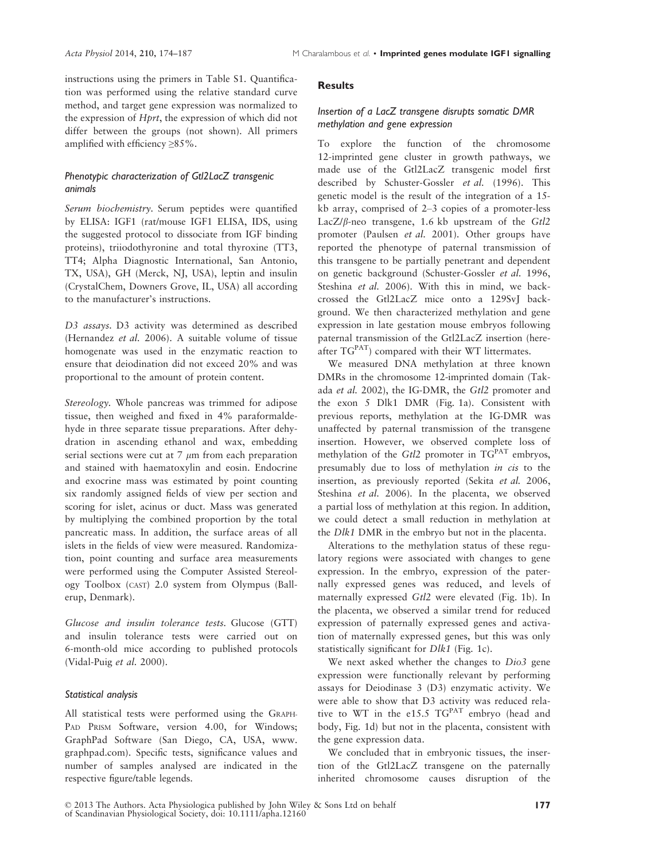instructions using the primers in Table S1. Quantification was performed using the relative standard curve method, and target gene expression was normalized to the expression of Hprt, the expression of which did not differ between the groups (not shown). All primers amplified with efficiency ≥85%.

# Phenotypic characterization of Gtl2LacZ transgenic animals

Serum biochemistry. Serum peptides were quantified by ELISA: IGF1 (rat/mouse IGF1 ELISA, IDS, using the suggested protocol to dissociate from IGF binding proteins), triiodothyronine and total thyroxine (TT3, TT4; Alpha Diagnostic International, San Antonio, TX, USA), GH (Merck, NJ, USA), leptin and insulin (CrystalChem, Downers Grove, IL, USA) all according to the manufacturer's instructions.

D3 assays. D3 activity was determined as described (Hernandez et al. 2006). A suitable volume of tissue homogenate was used in the enzymatic reaction to ensure that deiodination did not exceed 20% and was proportional to the amount of protein content.

Stereology. Whole pancreas was trimmed for adipose tissue, then weighed and fixed in 4% paraformaldehyde in three separate tissue preparations. After dehydration in ascending ethanol and wax, embedding serial sections were cut at  $7 \mu m$  from each preparation and stained with haematoxylin and eosin. Endocrine and exocrine mass was estimated by point counting six randomly assigned fields of view per section and scoring for islet, acinus or duct. Mass was generated by multiplying the combined proportion by the total pancreatic mass. In addition, the surface areas of all islets in the fields of view were measured. Randomization, point counting and surface area measurements were performed using the Computer Assisted Stereology Toolbox (CAST) 2.0 system from Olympus (Ballerup, Denmark).

Glucose and insulin tolerance tests. Glucose (GTT) and insulin tolerance tests were carried out on 6-month-old mice according to published protocols (Vidal-Puig et al. 2000).

## Statistical analysis

All statistical tests were performed using the GRAPH-PAD PRISM Software, version 4.00, for Windows; GraphPad Software (San Diego, CA, USA, www. graphpad.com). Specific tests, significance values and number of samples analysed are indicated in the respective figure/table legends.

# **Results**

# Insertion of a LacZ transgene disrupts somatic DMR methylation and gene expression

To explore the function of the chromosome 12-imprinted gene cluster in growth pathways, we made use of the Gtl2LacZ transgenic model first described by Schuster-Gossler et al. (1996). This genetic model is the result of the integration of a 15 kb array, comprised of 2–3 copies of a promoter-less Lac $Z/\beta$ -neo transgene, 1.6 kb upstream of the Gtl2 promoter (Paulsen et al. 2001). Other groups have reported the phenotype of paternal transmission of this transgene to be partially penetrant and dependent on genetic background (Schuster-Gossler et al. 1996, Steshina et al. 2006). With this in mind, we backcrossed the Gtl2LacZ mice onto a 129SvJ background. We then characterized methylation and gene expression in late gestation mouse embryos following paternal transmission of the Gtl2LacZ insertion (hereafter TGPAT) compared with their WT littermates.

We measured DNA methylation at three known DMRs in the chromosome 12-imprinted domain (Takada et al. 2002), the IG-DMR, the Gtl2 promoter and the exon 5 Dlk1 DMR (Fig. 1a). Consistent with previous reports, methylation at the IG-DMR was unaffected by paternal transmission of the transgene insertion. However, we observed complete loss of methylation of the  $Gt/2$  promoter in  $TG<sup>PAT</sup>$  embryos, presumably due to loss of methylation in cis to the insertion, as previously reported (Sekita et al. 2006, Steshina et al. 2006). In the placenta, we observed a partial loss of methylation at this region. In addition, we could detect a small reduction in methylation at the Dlk1 DMR in the embryo but not in the placenta.

Alterations to the methylation status of these regulatory regions were associated with changes to gene expression. In the embryo, expression of the paternally expressed genes was reduced, and levels of maternally expressed Gtl2 were elevated (Fig. 1b). In the placenta, we observed a similar trend for reduced expression of paternally expressed genes and activation of maternally expressed genes, but this was only statistically significant for Dlk1 (Fig. 1c).

We next asked whether the changes to Dio3 gene expression were functionally relevant by performing assays for Deiodinase 3 (D3) enzymatic activity. We were able to show that D3 activity was reduced relative to WT in the e15.5 TGPAT embryo (head and body, Fig. 1d) but not in the placenta, consistent with the gene expression data.

We concluded that in embryonic tissues, the insertion of the Gtl2LacZ transgene on the paternally inherited chromosome causes disruption of the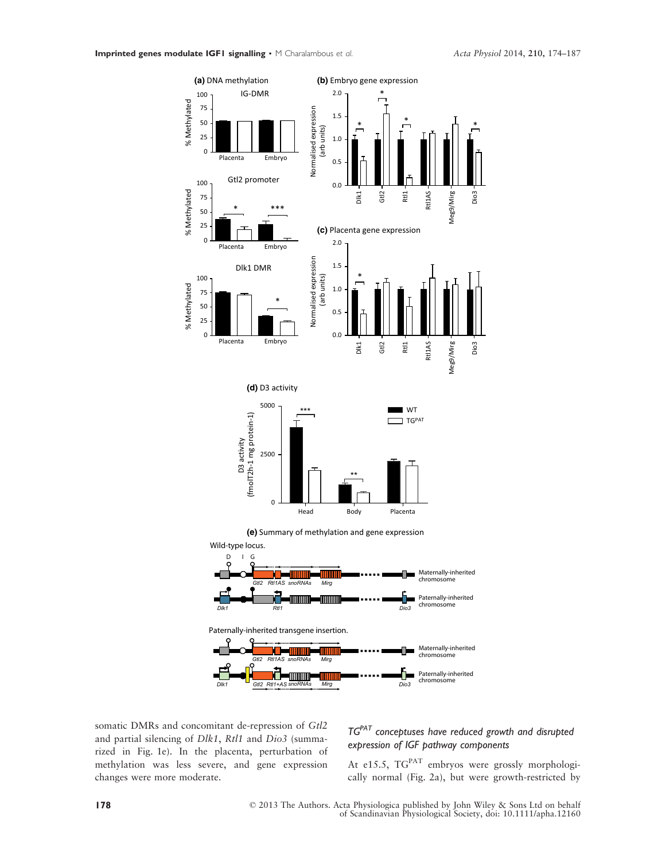

somatic DMRs and concomitant de-repression of Gtl2 and partial silencing of Dlk1, Rtl1 and Dio3 (summarized in Fig. 1e). In the placenta, perturbation of methylation was less severe, and gene expression changes were more moderate.

# $TG<sup>PAT</sup>$  conceptuses have reduced growth and disrupted expression of IGF pathway components

At e15.5, TG<sup>PAT</sup> embryos were grossly morphologically normal (Fig. 2a), but were growth-restricted by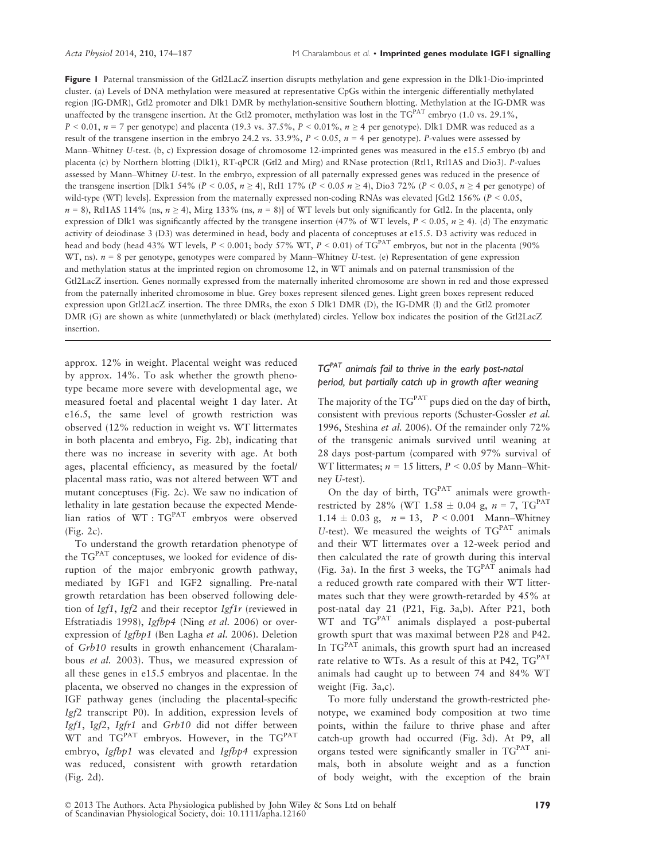Figure 1 Paternal transmission of the Gtl2LacZ insertion disrupts methylation and gene expression in the Dlk1-Dio-imprinted cluster. (a) Levels of DNA methylation were measured at representative CpGs within the intergenic differentially methylated region (IG-DMR), Gtl2 promoter and Dlk1 DMR by methylation-sensitive Southern blotting. Methylation at the IG-DMR was unaffected by the transgene insertion. At the Gtl2 promoter, methylation was lost in the TGPAT embryo (1.0 vs. 29.1%,  $P < 0.01$ ,  $n = 7$  per genotype) and placenta (19.3 vs. 37.5%,  $P < 0.01$ %,  $n \ge 4$  per genotype). Dlk1 DMR was reduced as a result of the transgene insertion in the embryo 24.2 vs. 33.9%,  $P < 0.05$ ,  $n = 4$  per genotype). P-values were assessed by Mann–Whitney U-test. (b, c) Expression dosage of chromosome 12-imprinted genes was measured in the e15.5 embryo (b) and placenta (c) by Northern blotting (Dlk1), RT-qPCR (Gtl2 and Mirg) and RNase protection (Rtl1, Rtl1AS and Dio3). P-values assessed by Mann–Whitney U-test. In the embryo, expression of all paternally expressed genes was reduced in the presence of the transgene insertion [Dlk1 54% ( $P < 0.05$ ,  $n \ge 4$ ), Rtl1 17% ( $P < 0.05$   $n \ge 4$ ), Dio3 72% ( $P < 0.05$ ,  $n \ge 4$  per genotype) of wild-type (WT) levels]. Expression from the maternally expressed non-coding RNAs was elevated [Gtl2 156% ( $P < 0.05$ ,  $n = 8$ ), Rtl1AS 114% (ns,  $n \ge 4$ ), Mirg 133% (ns,  $n = 8$ )] of WT levels but only significantly for Gtl2. In the placenta, only expression of Dlk1 was significantly affected by the transgene insertion (47% of WT levels,  $P < 0.05$ ,  $n \ge 4$ ). (d) The enzymatic activity of deiodinase 3 (D3) was determined in head, body and placenta of conceptuses at e15.5. D3 activity was reduced in head and body (head 43% WT levels,  $P < 0.001$ ; body 57% WT,  $P < 0.01$ ) of TG<sup>PAT</sup> embryos, but not in the placenta (90%) WT, ns).  $n = 8$  per genotype, genotypes were compared by Mann–Whitney U-test. (e) Representation of gene expression and methylation status at the imprinted region on chromosome 12, in WT animals and on paternal transmission of the Gtl2LacZ insertion. Genes normally expressed from the maternally inherited chromosome are shown in red and those expressed from the paternally inherited chromosome in blue. Grey boxes represent silenced genes. Light green boxes represent reduced expression upon Gtl2LacZ insertion. The three DMRs, the exon 5 Dlk1 DMR (D), the IG-DMR (I) and the Gtl2 promoter DMR (G) are shown as white (unmethylated) or black (methylated) circles. Yellow box indicates the position of the Gtl2LacZ insertion.

approx. 12% in weight. Placental weight was reduced by approx. 14%. To ask whether the growth phenotype became more severe with developmental age, we measured foetal and placental weight 1 day later. At e16.5, the same level of growth restriction was observed (12% reduction in weight vs. WT littermates in both placenta and embryo, Fig. 2b), indicating that there was no increase in severity with age. At both ages, placental efficiency, as measured by the foetal/ placental mass ratio, was not altered between WT and mutant conceptuses (Fig. 2c). We saw no indication of lethality in late gestation because the expected Mendelian ratios of WT: TG<sup>PAT</sup> embryos were observed (Fig. 2c).

To understand the growth retardation phenotype of the  $TG<sup>PAT</sup>$  conceptuses, we looked for evidence of disruption of the major embryonic growth pathway, mediated by IGF1 and IGF2 signalling. Pre-natal growth retardation has been observed following deletion of Igf1, Igf2 and their receptor Igf1r (reviewed in Efstratiadis 1998), Igfbp4 (Ning et al. 2006) or overexpression of Igfbp1 (Ben Lagha et al. 2006). Deletion of Grb10 results in growth enhancement (Charalambous et al. 2003). Thus, we measured expression of all these genes in e15.5 embryos and placentae. In the placenta, we observed no changes in the expression of IGF pathway genes (including the placental-specific Igf2 transcript P0). In addition, expression levels of Igf1, Igf2, Igfr1 and Grb10 did not differ between WT and TG<sup>PAT</sup> embryos. However, in the TG<sup>PAT</sup> embryo, Igfbp1 was elevated and Igfbp4 expression was reduced, consistent with growth retardation (Fig. 2d).

# $TG^{PAT}$  animals fail to thrive in the early post-natal period, but partially catch up in growth after weaning

The majority of the  $TG<sup>PAT</sup>$  pups died on the day of birth, consistent with previous reports (Schuster-Gossler et al. 1996, Steshina et al. 2006). Of the remainder only 72% of the transgenic animals survived until weaning at 28 days post-partum (compared with 97% survival of WT littermates;  $n = 15$  litters,  $P < 0.05$  by Mann–Whitney U-test).

On the day of birth,  $TG<sup>PAT</sup>$  animals were growthrestricted by 28% (WT 1.58  $\pm$  0.04 g, n = 7, TG<sup>PAT</sup>  $1.14 \pm 0.03$  g,  $n = 13$ ,  $P < 0.001$  Mann–Whitney U-test). We measured the weights of  $TG<sup>PAT</sup>$  animals and their WT littermates over a 12-week period and then calculated the rate of growth during this interval (Fig. 3a). In the first 3 weeks, the  $TG<sup>PAT</sup>$  animals had a reduced growth rate compared with their WT littermates such that they were growth-retarded by 45% at post-natal day 21 (P21, Fig. 3a,b). After P21, both  $WT$  and  $TG<sup>PAT</sup>$  animals displayed a post-pubertal growth spurt that was maximal between P28 and P42. In  $TG<sup>PAT</sup>$  animals, this growth spurt had an increased rate relative to WTs. As a result of this at P42, TG<sup>PAT</sup> animals had caught up to between 74 and 84% WT weight (Fig. 3a,c).

To more fully understand the growth-restricted phenotype, we examined body composition at two time points, within the failure to thrive phase and after catch-up growth had occurred (Fig. 3d). At P9, all organs tested were significantly smaller in  $TG<sup>PAT</sup>$  animals, both in absolute weight and as a function of body weight, with the exception of the brain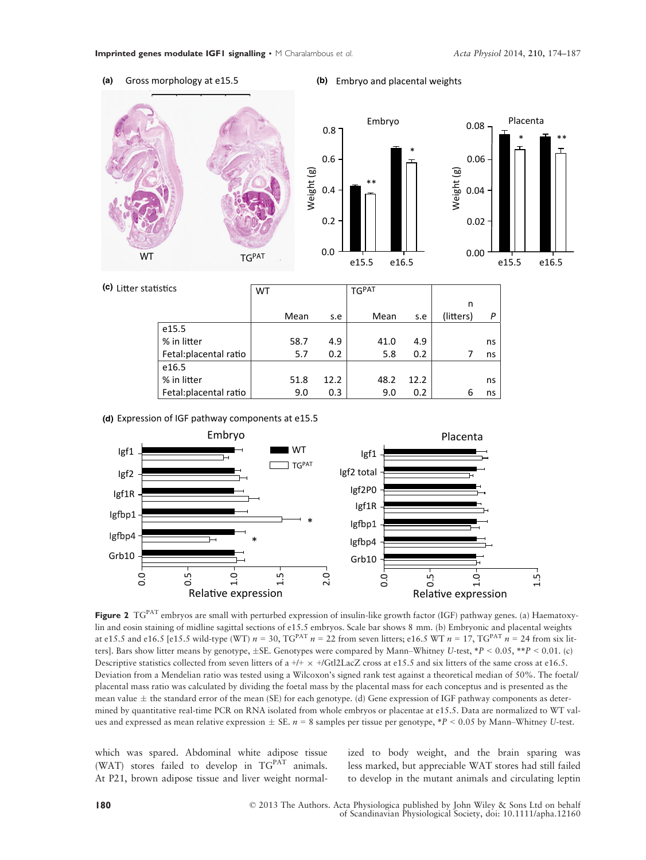(a) Gross morphology at e15.5

## (b) Embryo and placental weights

\*







| (c) Litter statistics |                        | WT |      |      | <b>TGPAT</b> |      |           |    |
|-----------------------|------------------------|----|------|------|--------------|------|-----------|----|
|                       |                        |    |      |      |              |      | n         |    |
|                       |                        |    | Mean | s.e  | Mean         | s.e  | (litters) | P  |
|                       | e15.5                  |    |      |      |              |      |           |    |
|                       | % in litter            |    | 58.7 | 4.9  | 41.0         | 4.9  |           | ns |
|                       | Fetal: placental ratio |    | 5.7  | 0.2  | 5.8          | 0.2  |           | ns |
|                       | e16.5                  |    |      |      |              |      |           |    |
|                       | % in litter            |    | 51.8 | 12.2 | 48.2         | 12.2 |           | ns |
|                       | Fetal: placental ratio |    | 9.0  | 0.3  | 9.0          | 0.2  | 6         | ns |

Expression of IGF pathway components at e15.5 **(d)**



Figure 2 TG<sup>PAT</sup> embryos are small with perturbed expression of insulin-like growth factor (IGF) pathway genes. (a) Haematoxylin and eosin staining of midline sagittal sections of e15.5 embryos. Scale bar shows 8 mm. (b) Embryonic and placental weights at e15.5 and e16.5 [e15.5 wild-type (WT)  $n = 30$ , TG<sup>PAT</sup>  $n = 22$  from seven litters; e16.5 WT  $n = 17$ , TG<sup>PAT</sup>  $n = 24$  from six litters]. Bars show litter means by genotype,  $\pm$ SE. Genotypes were compared by Mann–Whitney U-test,  $*P < 0.05$ ,  $*P < 0.01$ . (c) Descriptive statistics collected from seven litters of a +/+  $\times$  +/Gtl2LacZ cross at e15.5 and six litters of the same cross at e16.5. Deviation from a Mendelian ratio was tested using a Wilcoxon's signed rank test against a theoretical median of 50%. The foetal/ placental mass ratio was calculated by dividing the foetal mass by the placental mass for each conceptus and is presented as the mean value  $\pm$  the standard error of the mean (SE) for each genotype. (d) Gene expression of IGF pathway components as determined by quantitative real-time PCR on RNA isolated from whole embryos or placentae at e15.5. Data are normalized to WT values and expressed as mean relative expression  $\pm$  SE.  $n = 8$  samples per tissue per genotype, \*P < 0.05 by Mann–Whitney U-test.

which was spared. Abdominal white adipose tissue (WAT) stores failed to develop in  $TG<sup>PAT</sup>$  animals. At P21, brown adipose tissue and liver weight normal-

ized to body weight, and the brain sparing was less marked, but appreciable WAT stores had still failed to develop in the mutant animals and circulating leptin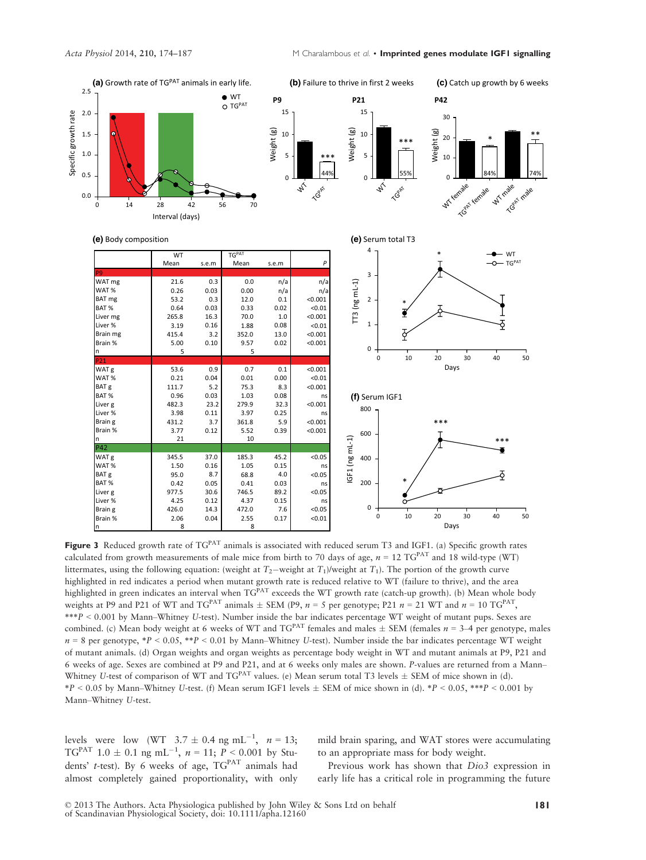

Figure 3 Reduced growth rate of  $TG<sup>PAT</sup>$  animals is associated with reduced serum T3 and IGF1. (a) Specific growth rates calculated from growth measurements of male mice from birth to 70 days of age,  $n = 12$  TG<sup>PAT</sup> and 18 wild-type (WT) littermates, using the following equation: (weight at  $T_2$ -weight at  $T_1$ )/weight at  $T_1$ ). The portion of the growth curve highlighted in red indicates a period when mutant growth rate is reduced relative to WT (failure to thrive), and the area highlighted in green indicates an interval when TGPAT exceeds the WT growth rate (catch-up growth). (b) Mean whole body weights at P9 and P21 of WT and TG<sup>PAT</sup> animals  $\pm$  SEM (P9,  $n = 5$  per genotype; P21  $n = 21$  WT and  $n = 10$  TG<sup>PAT</sup>, \*\*\*P < 0.001 by Mann–Whitney U-test). Number inside the bar indicates percentage WT weight of mutant pups. Sexes are combined. (c) Mean body weight at 6 weeks of WT and  $TG^{PAT}$  females and males  $\pm$  SEM (females  $n = 3-4$  per genotype, males  $n = 8$  per genotype, \*P < 0.05, \*\*P < 0.01 by Mann–Whitney U-test). Number inside the bar indicates percentage WT weight of mutant animals. (d) Organ weights and organ weights as percentage body weight in WT and mutant animals at P9, P21 and 6 weeks of age. Sexes are combined at P9 and P21, and at 6 weeks only males are shown. P-values are returned from a Mann– Whitney U-test of comparison of WT and  $TG<sup>PAT</sup>$  values. (e) Mean serum total T3 levels  $\pm$  SEM of mice shown in (d).  $*P < 0.05$  by Mann–Whitney U-test. (f) Mean serum IGF1 levels  $\pm$  SEM of mice shown in (d).  $*P < 0.05$ ,  $***P < 0.001$  by Mann–Whitney U-test.

levels were low (WT  $3.7 \pm 0.4$  ng mL<sup>-1</sup>,  $n = 13$ ;  $TG<sup>PAT</sup>$  1.0  $\pm$  0.1 ng mL<sup>-1</sup>,  $n = 11$ ;  $P < 0.001$  by Students' t-test). By 6 weeks of age,  $TG<sup>PAT</sup>$  animals had almost completely gained proportionality, with only mild brain sparing, and WAT stores were accumulating to an appropriate mass for body weight.

Previous work has shown that Dio3 expression in early life has a critical role in programming the future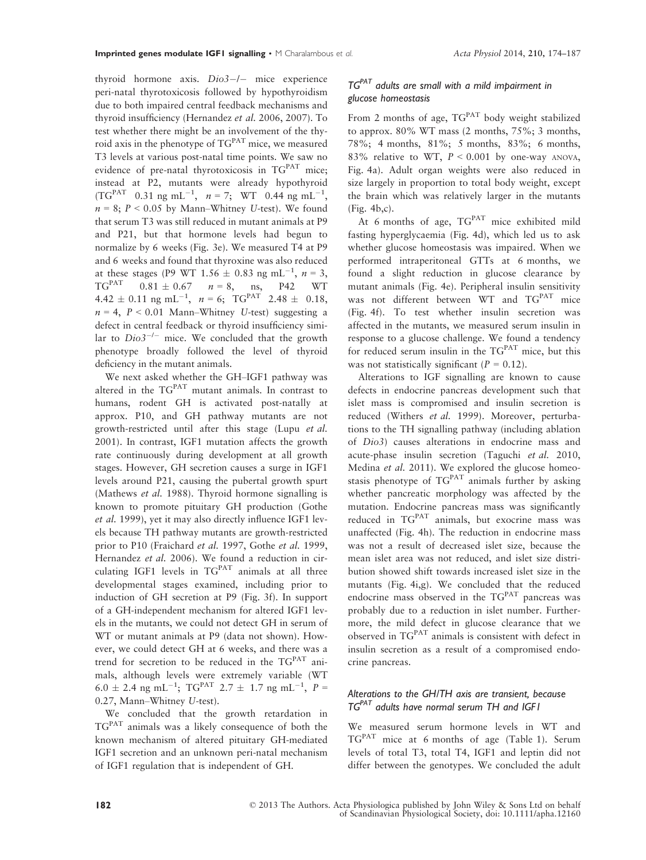thyroid hormone axis.  $Di<sub>0</sub>3$ –/– mice experienceperi-natal thyrotoxicosis followed by hypothyroidism due to both impaired central feedback mechanisms and thyroid insufficiency (Hernandez et al. 2006, 2007). To test whether there might be an involvement of the thyroid axis in the phenotype of TGPAT mice, we measured T3 levels at various post-natal time points. We saw no evidence of pre-natal thyrotoxicosis in TGPAT mice; instead at P2, mutants were already hypothyroid (TG<sup>PAT</sup> 0.31 ng mL<sup>-1</sup>,  $n = 7$ ; WT 0.44 ng mL<sup>-1</sup>,  $n = 8$ ;  $P < 0.05$  by Mann–Whitney U-test). We found that serum T3 was still reduced in mutant animals at P9 and P21, but that hormone levels had begun to normalize by 6 weeks (Fig. 3e). We measured T4 at P9 and 6 weeks and found that thyroxine was also reduced at these stages (P9 WT  $1.56 \pm 0.83$  ng mL<sup>-1</sup>,  $n = 3$ ,  $TG^{PATH}$  0.81  $\pm$  0.67  $n = 8$ , ns, P42 WT  $4.42 \pm 0.11$  ng mL<sup>-1</sup>,  $n = 6$ ; TG<sup>PAT</sup> 2.48  $\pm$  0.18,  $n = 4$ ,  $P < 0.01$  Mann–Whitney U-test) suggesting a defect in central feedback or thyroid insufficiency similar to  $Di\omega^{2-l-}$  mice. We concluded that the growth phenotype broadly followed the level of thyroid deficiency in the mutant animals.

We next asked whether the GH–IGF1 pathway was altered in the TGPAT mutant animals. In contrast to humans, rodent GH is activated post-natally at approx. P10, and GH pathway mutants are not growth-restricted until after this stage (Lupu et al. 2001). In contrast, IGF1 mutation affects the growth rate continuously during development at all growth stages. However, GH secretion causes a surge in IGF1 levels around P21, causing the pubertal growth spurt (Mathews et al. 1988). Thyroid hormone signalling is known to promote pituitary GH production (Gothe et al. 1999), yet it may also directly influence IGF1 levels because TH pathway mutants are growth-restricted prior to P10 (Fraichard et al. 1997, Gothe et al. 1999, Hernandez et al. 2006). We found a reduction in circulating IGF1 levels in  $TG<sup>PAT</sup>$  animals at all three developmental stages examined, including prior to induction of GH secretion at P9 (Fig. 3f). In support of a GH-independent mechanism for altered IGF1 levels in the mutants, we could not detect GH in serum of WT or mutant animals at P9 (data not shown). However, we could detect GH at 6 weeks, and there was a trend for secretion to be reduced in the TGPAT animals, although levels were extremely variable (WT  $6.0 \pm 2.4$  ng mL<sup>-1</sup>; TG<sup>PAT</sup> 2.7  $\pm$  1.7 ng mL<sup>-1</sup>, P = 0.27, Mann–Whitney U-test).

We concluded that the growth retardation in TGPAT animals was a likely consequence of both the known mechanism of altered pituitary GH-mediated IGF1 secretion and an unknown peri-natal mechanism of IGF1 regulation that is independent of GH.

# $TG<sup>PAT</sup>$  adults are small with a mild impairment in glucose homeostasis

From 2 months of age,  $TG<sup>PAT</sup>$  body weight stabilized to approx.  $80\%$  WT mass (2 months,  $75\%$ ; 3 months, 78%; 4 months, 81%; 5 months, 83%; 6 months, 83% relative to WT,  $P \le 0.001$  by one-way ANOVA, Fig. 4a). Adult organ weights were also reduced in size largely in proportion to total body weight, except the brain which was relatively larger in the mutants (Fig. 4b,c).

At 6 months of age,  $T G^{PAT}$  mice exhibited mild fasting hyperglycaemia (Fig. 4d), which led us to ask whether glucose homeostasis was impaired. When we performed intraperitoneal GTTs at 6 months, we found a slight reduction in glucose clearance by mutant animals (Fig. 4e). Peripheral insulin sensitivity was not different between WT and TGPAT mice (Fig. 4f). To test whether insulin secretion was affected in the mutants, we measured serum insulin in response to a glucose challenge. We found a tendency for reduced serum insulin in the  $TG<sup>PAT</sup>$  mice, but this was not statistically significant  $(P = 0.12)$ .

Alterations to IGF signalling are known to cause defects in endocrine pancreas development such that islet mass is compromised and insulin secretion is reduced (Withers et al. 1999). Moreover, perturbations to the TH signalling pathway (including ablation of Dio3) causes alterations in endocrine mass and acute-phase insulin secretion (Taguchi et al. 2010, Medina et al. 2011). We explored the glucose homeostasis phenotype of  $TG<sup>PAT</sup>$  animals further by asking whether pancreatic morphology was affected by the mutation. Endocrine pancreas mass was significantly reduced in TG<sup>PAT</sup> animals, but exocrine mass was unaffected (Fig. 4h). The reduction in endocrine mass was not a result of decreased islet size, because the mean islet area was not reduced, and islet size distribution showed shift towards increased islet size in the mutants (Fig. 4i,g). We concluded that the reduced endocrine mass observed in the TG<sup>PAT</sup> pancreas was probably due to a reduction in islet number. Furthermore, the mild defect in glucose clearance that we observed in TGPAT animals is consistent with defect in insulin secretion as a result of a compromised endocrine pancreas.

# Alterations to the GH/TH axis are transient, because  $TG^{PATH}$  adults have normal serum TH and IGF1

We measured serum hormone levels in WT and TGPAT mice at 6 months of age (Table 1). Serum levels of total T3, total T4, IGF1 and leptin did not differ between the genotypes. We concluded the adult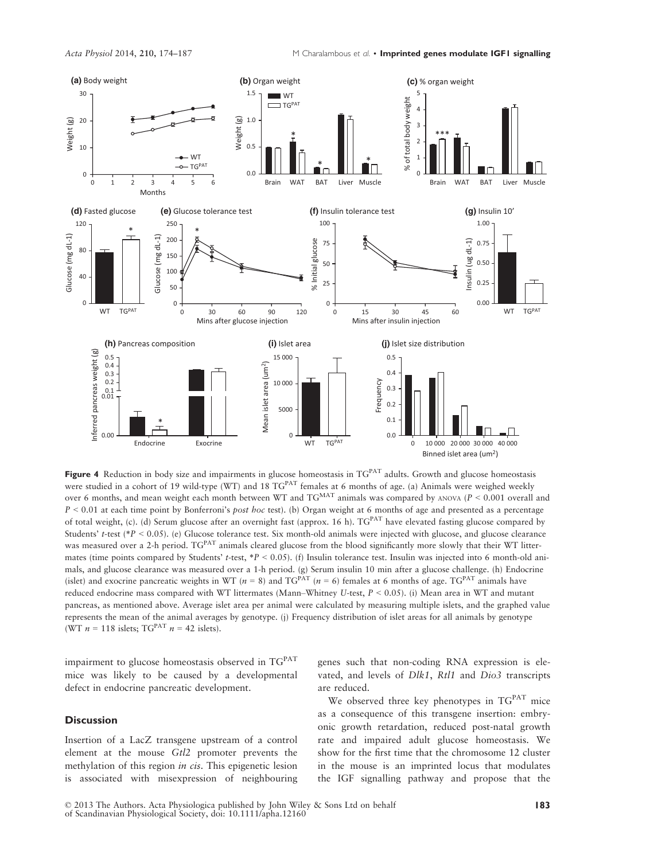

Figure 4 Reduction in body size and impairments in glucose homeostasis in TGPAT adults. Growth and glucose homeostasis were studied in a cohort of 19 wild-type (WT) and 18 TG<sup>PAT</sup> females at 6 months of age. (a) Animals were weighed weekly over 6 months, and mean weight each month between WT and  $TG<sup>MAT</sup>$  animals was compared by ANOVA ( $P < 0.001$  overall and  $P < 0.01$  at each time point by Bonferroni's *post hoc* test). (b) Organ weight at 6 months of age and presented as a percentage of total weight, (c). (d) Serum glucose after an overnight fast (approx. 16 h).  $TG^{PAT}$  have elevated fasting glucose compared by Students' t-test (\*P < 0.05). (e) Glucose tolerance test. Six month-old animals were injected with glucose, and glucose clearance was measured over a 2-h period. TG<sup>PAT</sup> animals cleared glucose from the blood significantly more slowly that their WT littermates (time points compared by Students' t-test,  $*P < 0.05$ ). (f) Insulin tolerance test. Insulin was injected into 6 month-old animals, and glucose clearance was measured over a 1-h period. (g) Serum insulin 10 min after a glucose challenge. (h) Endocrine (islet) and exocrine pancreatic weights in WT ( $n = 8$ ) and TG<sup>PAT</sup> ( $n = 6$ ) females at 6 months of age. TG<sup>PAT</sup> animals have reduced endocrine mass compared with WT littermates (Mann–Whitney U-test,  $P < 0.05$ ). (i) Mean area in WT and mutant pancreas, as mentioned above. Average islet area per animal were calculated by measuring multiple islets, and the graphed value represents the mean of the animal averages by genotype. (j) Frequency distribution of islet areas for all animals by genotype (WT  $n = 118$  islets; TG<sup>PAT</sup>  $n = 42$  islets).

impairment to glucose homeostasis observed in TG<sup>PAT</sup> mice was likely to be caused by a developmental defect in endocrine pancreatic development.

# **Discussion**

Insertion of a LacZ transgene upstream of a control element at the mouse Gtl2 promoter prevents the methylation of this region *in cis*. This epigenetic lesion is associated with misexpression of neighbouring genes such that non-coding RNA expression is elevated, and levels of Dlk1, Rtl1 and Dio3 transcripts are reduced.

We observed three key phenotypes in TG<sup>PAT</sup> mice as a consequence of this transgene insertion: embryonic growth retardation, reduced post-natal growth rate and impaired adult glucose homeostasis. We show for the first time that the chromosome 12 cluster in the mouse is an imprinted locus that modulates the IGF signalling pathway and propose that the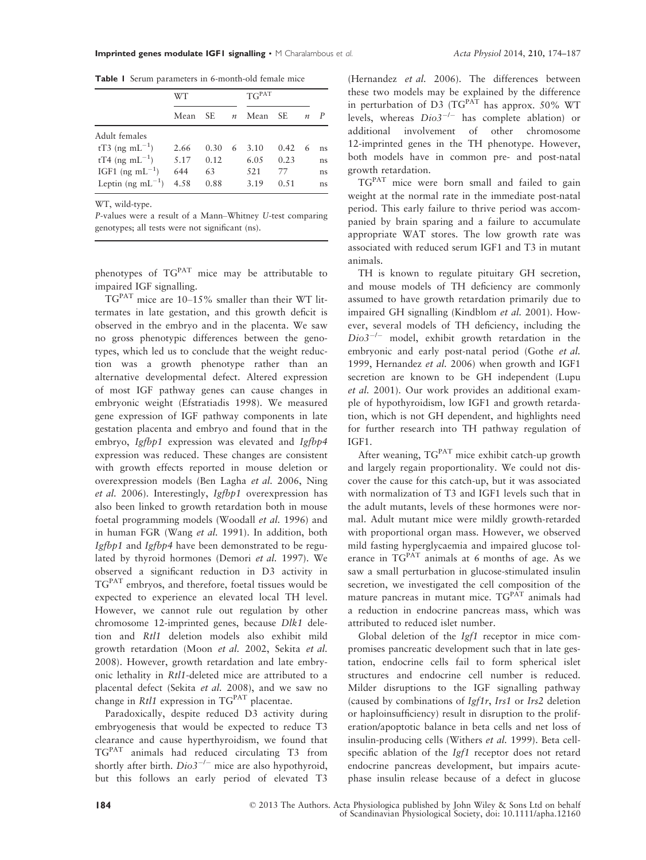Table 1 Serum parameters in 6-month-old female mice

|                            | WТ   |      |               | TG <sup>PAT</sup> |       |                  |    |
|----------------------------|------|------|---------------|-------------------|-------|------------------|----|
|                            | Mean | SE.  | $\mathfrak n$ | Mean              | SE.   | $\boldsymbol{n}$ | P  |
| Adult females              |      |      |               |                   |       |                  |    |
| tT3 (ng mL <sup>-1</sup> ) | 2.66 | 0.30 | 6             | 3.10              | 0.42. | 6                | ns |
| tT4 (ng mL <sup>-1</sup> ) | 5.17 | 0.12 |               | 6.05              | 0.23  |                  | ns |
| IGF1 (ng mL $^{-1}$ )      | 644  | 63   |               | 521               | 77    |                  | ns |
| Leptin (ng mL $^{-1}$ )    | 4.58 | 0.88 |               | 3.19              | 0.51  |                  | ns |

WT, wild-type.

P-values were a result of a Mann–Whitney U-test comparing genotypes; all tests were not significant (ns).

phenotypes of TGPAT mice may be attributable to impaired IGF signalling.

 $TG<sup>PAT</sup>$  mice are 10–15% smaller than their WT littermates in late gestation, and this growth deficit is observed in the embryo and in the placenta. We saw no gross phenotypic differences between the genotypes, which led us to conclude that the weight reduction was a growth phenotype rather than an alternative developmental defect. Altered expression of most IGF pathway genes can cause changes in embryonic weight (Efstratiadis 1998). We measured gene expression of IGF pathway components in late gestation placenta and embryo and found that in the embryo, Igfbp1 expression was elevated and Igfbp4 expression was reduced. These changes are consistent with growth effects reported in mouse deletion or overexpression models (Ben Lagha et al. 2006, Ning et al. 2006). Interestingly, Igfbp1 overexpression has also been linked to growth retardation both in mouse foetal programming models (Woodall et al. 1996) and in human FGR (Wang et al. 1991). In addition, both Igfbp1 and Igfbp4 have been demonstrated to be regulated by thyroid hormones (Demori et al. 1997). We observed a significant reduction in D3 activity in TGPAT embryos, and therefore, foetal tissues would be expected to experience an elevated local TH level. However, we cannot rule out regulation by other chromosome 12-imprinted genes, because Dlk1 deletion and Rtl1 deletion models also exhibit mild growth retardation (Moon et al. 2002, Sekita et al. 2008). However, growth retardation and late embryonic lethality in Rtl1-deleted mice are attributed to a placental defect (Sekita et al. 2008), and we saw no change in  $Rtl1$  expression in TG<sup>PAT</sup> placentae.

Paradoxically, despite reduced D3 activity during embryogenesis that would be expected to reduce T3 clearance and cause hyperthyroidism, we found that TGPAT animals had reduced circulating T3 from shortly after birth.  $Di\sigma 3^{-/-}$  mice are also hypothyroid, but this follows an early period of elevated T3

(Hernandez et al. 2006). The differences between these two models may be explained by the difference in perturbation of D3 (TG<sup>PAT</sup> has approx. 50% WT levels, whereas  $Di_{0}3^{-/-}$  has complete ablation) or additional involvement of other chromosome 12-imprinted genes in the TH phenotype. However, both models have in common pre- and post-natal growth retardation.

TGPAT mice were born small and failed to gain weight at the normal rate in the immediate post-natal period. This early failure to thrive period was accompanied by brain sparing and a failure to accumulate appropriate WAT stores. The low growth rate was associated with reduced serum IGF1 and T3 in mutant animals.

TH is known to regulate pituitary GH secretion, and mouse models of TH deficiency are commonly assumed to have growth retardation primarily due to impaired GH signalling (Kindblom et al. 2001). However, several models of TH deficiency, including the  $Di\omega 3^{-/-}$  model, exhibit growth retardation in the embryonic and early post-natal period (Gothe et al. 1999, Hernandez et al. 2006) when growth and IGF1 secretion are known to be GH independent (Lupu et al. 2001). Our work provides an additional example of hypothyroidism, low IGF1 and growth retardation, which is not GH dependent, and highlights need for further research into TH pathway regulation of IGF1.

After weaning,  $TG<sup>PAT</sup>$  mice exhibit catch-up growth and largely regain proportionality. We could not discover the cause for this catch-up, but it was associated with normalization of T3 and IGF1 levels such that in the adult mutants, levels of these hormones were normal. Adult mutant mice were mildly growth-retarded with proportional organ mass. However, we observed mild fasting hyperglycaemia and impaired glucose tolerance in  $TG<sup>PAT</sup>$  animals at 6 months of age. As we saw a small perturbation in glucose-stimulated insulin secretion, we investigated the cell composition of the mature pancreas in mutant mice. TGPAT animals had a reduction in endocrine pancreas mass, which was attributed to reduced islet number.

Global deletion of the *Igf1* receptor in mice compromises pancreatic development such that in late gestation, endocrine cells fail to form spherical islet structures and endocrine cell number is reduced. Milder disruptions to the IGF signalling pathway (caused by combinations of Igf1r, Irs1 or Irs2 deletion or haploinsufficiency) result in disruption to the proliferation/apoptotic balance in beta cells and net loss of insulin-producing cells (Withers et al. 1999). Beta cellspecific ablation of the *Igf1* receptor does not retard endocrine pancreas development, but impairs acutephase insulin release because of a defect in glucose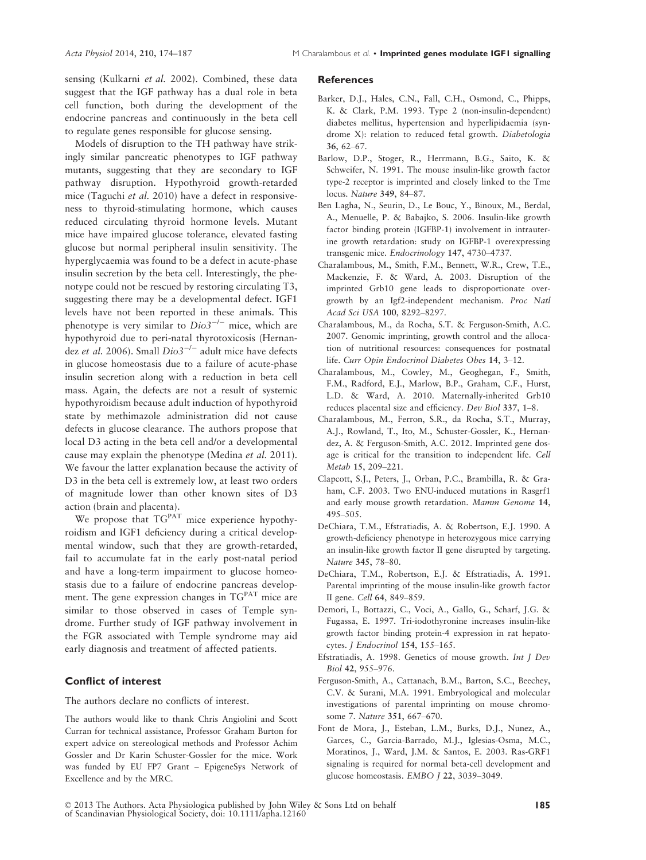sensing (Kulkarni et al. 2002). Combined, these data suggest that the IGF pathway has a dual role in beta cell function, both during the development of the endocrine pancreas and continuously in the beta cell to regulate genes responsible for glucose sensing.

Models of disruption to the TH pathway have strikingly similar pancreatic phenotypes to IGF pathway mutants, suggesting that they are secondary to IGF pathway disruption. Hypothyroid growth-retarded mice (Taguchi et al. 2010) have a defect in responsiveness to thyroid-stimulating hormone, which causes reduced circulating thyroid hormone levels. Mutant mice have impaired glucose tolerance, elevated fasting glucose but normal peripheral insulin sensitivity. The hyperglycaemia was found to be a defect in acute-phase insulin secretion by the beta cell. Interestingly, the phenotype could not be rescued by restoring circulating T3, suggesting there may be a developmental defect. IGF1 levels have not been reported in these animals. This phenotype is very similar to  $Di<sub>o</sub>3^{-/-}$  mice, which are hypothyroid due to peri-natal thyrotoxicosis (Hernandez et al. 2006). Small  $Di<sub>0</sub>3^{-/-}$  adult mice have defects in glucose homeostasis due to a failure of acute-phase insulin secretion along with a reduction in beta cell mass. Again, the defects are not a result of systemic hypothyroidism because adult induction of hypothyroid state by methimazole administration did not cause defects in glucose clearance. The authors propose that local D3 acting in the beta cell and/or a developmental cause may explain the phenotype (Medina et al. 2011). We favour the latter explanation because the activity of D3 in the beta cell is extremely low, at least two orders of magnitude lower than other known sites of D3 action (brain and placenta).

We propose that  $TG<sup>PAT</sup>$  mice experience hypothyroidism and IGF1 deficiency during a critical developmental window, such that they are growth-retarded, fail to accumulate fat in the early post-natal period and have a long-term impairment to glucose homeostasis due to a failure of endocrine pancreas development. The gene expression changes in  $TG<sup>PAT</sup>$  mice are similar to those observed in cases of Temple syndrome. Further study of IGF pathway involvement in the FGR associated with Temple syndrome may aid early diagnosis and treatment of affected patients.

# Conflict of interest

The authors declare no conflicts of interest.

The authors would like to thank Chris Angiolini and Scott Curran for technical assistance, Professor Graham Burton for expert advice on stereological methods and Professor Achim Gossler and Dr Karin Schuster-Gossler for the mice. Work was funded by EU FP7 Grant – EpigeneSys Network of Excellence and by the MRC.

#### **References**

- Barker, D.J., Hales, C.N., Fall, C.H., Osmond, C., Phipps, K. & Clark, P.M. 1993. Type 2 (non-insulin-dependent) diabetes mellitus, hypertension and hyperlipidaemia (syndrome X): relation to reduced fetal growth. Diabetologia 36, 62–67.
- Barlow, D.P., Stoger, R., Herrmann, B.G., Saito, K. & Schweifer, N. 1991. The mouse insulin-like growth factor type-2 receptor is imprinted and closely linked to the Tme locus. Nature 349, 84–87.
- Ben Lagha, N., Seurin, D., Le Bouc, Y., Binoux, M., Berdal, A., Menuelle, P. & Babajko, S. 2006. Insulin-like growth factor binding protein (IGFBP-1) involvement in intrauterine growth retardation: study on IGFBP-1 overexpressing transgenic mice. Endocrinology 147, 4730–4737.
- Charalambous, M., Smith, F.M., Bennett, W.R., Crew, T.E., Mackenzie, F. & Ward, A. 2003. Disruption of the imprinted Grb10 gene leads to disproportionate overgrowth by an Igf2-independent mechanism. Proc Natl Acad Sci USA 100, 8292–8297.
- Charalambous, M., da Rocha, S.T. & Ferguson-Smith, A.C. 2007. Genomic imprinting, growth control and the allocation of nutritional resources: consequences for postnatal life. Curr Opin Endocrinol Diabetes Obes 14, 3–12.
- Charalambous, M., Cowley, M., Geoghegan, F., Smith, F.M., Radford, E.J., Marlow, B.P., Graham, C.F., Hurst, L.D. & Ward, A. 2010. Maternally-inherited Grb10 reduces placental size and efficiency. Dev Biol 337, 1–8.
- Charalambous, M., Ferron, S.R., da Rocha, S.T., Murray, A.J., Rowland, T., Ito, M., Schuster-Gossler, K., Hernandez, A. & Ferguson-Smith, A.C. 2012. Imprinted gene dosage is critical for the transition to independent life. Cell Metab 15, 209–221.
- Clapcott, S.J., Peters, J., Orban, P.C., Brambilla, R. & Graham, C.F. 2003. Two ENU-induced mutations in Rasgrf1 and early mouse growth retardation. Mamm Genome 14, 495–505.
- DeChiara, T.M., Efstratiadis, A. & Robertson, E.J. 1990. A growth-deficiency phenotype in heterozygous mice carrying an insulin-like growth factor II gene disrupted by targeting. Nature 345, 78–80.
- DeChiara, T.M., Robertson, E.J. & Efstratiadis, A. 1991. Parental imprinting of the mouse insulin-like growth factor II gene. Cell 64, 849–859.
- Demori, I., Bottazzi, C., Voci, A., Gallo, G., Scharf, J.G. & Fugassa, E. 1997. Tri-iodothyronine increases insulin-like growth factor binding protein-4 expression in rat hepatocytes. J Endocrinol 154, 155–165.
- Efstratiadis, A. 1998. Genetics of mouse growth. Int J Dev Biol 42, 955–976.
- Ferguson-Smith, A., Cattanach, B.M., Barton, S.C., Beechey, C.V. & Surani, M.A. 1991. Embryological and molecular investigations of parental imprinting on mouse chromosome 7. Nature 351, 667–670.
- Font de Mora, J., Esteban, L.M., Burks, D.J., Nunez, A., Garces, C., Garcia-Barrado, M.J., Iglesias-Osma, M.C., Moratinos, J., Ward, J.M. & Santos, E. 2003. Ras-GRF1 signaling is required for normal beta-cell development and glucose homeostasis. EMBO J 22, 3039–3049.

© 2013 The Authors. Acta Physiologica published by John Wiley & Sons Ltd on behalf of Scandinavian Physiological Society, doi: 10.1111/apha.12160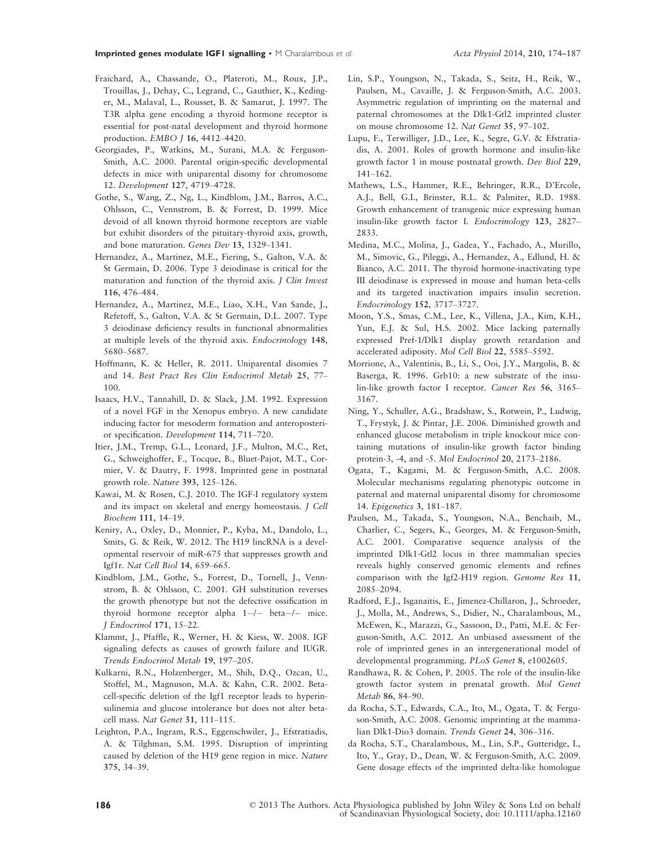- Fraichard, A., Chassande, O., Plateroti, M., Roux, J.P., Trouillas, J., Dehay, C., Legrand, C., Gauthier, K., Kedinger, M., Malaval, L., Rousset, B. & Samarut, J. 1997. The T3R alpha gene encoding a thyroid hormone receptor is essential for post-natal development and thyroid hormone production. EMBO J 16, 4412–4420.
- Georgiades, P., Watkins, M., Surani, M.A. & Ferguson-Smith, A.C. 2000. Parental origin-specific developmental defects in mice with uniparental disomy for chromosome 12. Development 127, 4719–4728.
- Gothe, S., Wang, Z., Ng, L., Kindblom, J.M., Barros, A.C., Ohlsson, C., Vennstrom, B. & Forrest, D. 1999. Mice devoid of all known thyroid hormone receptors are viable but exhibit disorders of the pituitary-thyroid axis, growth, and bone maturation. Genes Dev 13, 1329–1341.
- Hernandez, A., Martinez, M.E., Fiering, S., Galton, V.A. & St Germain, D. 2006. Type 3 deiodinase is critical for the maturation and function of the thyroid axis. J Clin Invest 116, 476–484.
- Hernandez, A., Martinez, M.E., Liao, X.H., Van Sande, J., Refetoff, S., Galton, V.A. & St Germain, D.L. 2007. Type 3 deiodinase deficiency results in functional abnormalities at multiple levels of the thyroid axis. Endocrinology 148, 5680–5687.
- Hoffmann, K. & Heller, R. 2011. Uniparental disomies 7 and 14. Best Pract Res Clin Endocrinol Metab 25, 77– 100.
- Isaacs, H.V., Tannahill, D. & Slack, J.M. 1992. Expression of a novel FGF in the Xenopus embryo. A new candidate inducing factor for mesoderm formation and anteroposterior specification. Development 114, 711–720.
- Itier, J.M., Tremp, G.L., Leonard, J.F., Multon, M.C., Ret, G., Schweighoffer, F., Tocque, B., Bluet-Pajot, M.T., Cormier, V. & Dautry, F. 1998. Imprinted gene in postnatal growth role. Nature 393, 125–126.
- Kawai, M. & Rosen, C.J. 2010. The IGF-I regulatory system and its impact on skeletal and energy homeostasis. J Cell Biochem 111, 14–19.
- Keniry, A., Oxley, D., Monnier, P., Kyba, M., Dandolo, L., Smits, G. & Reik, W. 2012. The H19 lincRNA is a developmental reservoir of miR-675 that suppresses growth and Igf1r. Nat Cell Biol 14, 659–665.
- Kindblom, J.M., Gothe, S., Forrest, D., Tornell, J., Vennstrom, B. & Ohlsson, C. 2001. GH substitution reverses the growth phenotype but not the defective ossification in thyroid hormone receptor alpha  $1-/-$  beta $-/-$  mice. J Endocrinol 171, 15–22.
- Klammt, J., Pfaffle, R., Werner, H. & Kiess, W. 2008. IGF signaling defects as causes of growth failure and IUGR. Trends Endocrinol Metab 19, 197–205.
- Kulkarni, R.N., Holzenberger, M., Shih, D.Q., Ozcan, U., Stoffel, M., Magnuson, M.A. & Kahn, C.R. 2002. Betacell-specific deletion of the Igf1 receptor leads to hyperinsulinemia and glucose intolerance but does not alter betacell mass. Nat Genet 31, 111–115.
- Leighton, P.A., Ingram, R.S., Eggenschwiler, J., Efstratiadis, A. & Tilghman, S.M. 1995. Disruption of imprinting caused by deletion of the H19 gene region in mice. Nature 375, 34–39.
- Lin, S.P., Youngson, N., Takada, S., Seitz, H., Reik, W., Paulsen, M., Cavaille, J. & Ferguson-Smith, A.C. 2003. Asymmetric regulation of imprinting on the maternal and paternal chromosomes at the Dlk1-Gtl2 imprinted cluster on mouse chromosome 12. Nat Genet 35, 97–102.
- Lupu, F., Terwilliger, J.D., Lee, K., Segre, G.V. & Efstratiadis, A. 2001. Roles of growth hormone and insulin-like growth factor 1 in mouse postnatal growth. Dev Biol 229, 141–162.
- Mathews, L.S., Hammer, R.E., Behringer, R.R., D'Ercole, A.J., Bell, G.I., Brinster, R.L. & Palmiter, R.D. 1988. Growth enhancement of transgenic mice expressing human insulin-like growth factor I. Endocrinology 123, 2827– 2833.
- Medina, M.C., Molina, J., Gadea, Y., Fachado, A., Murillo, M., Simovic, G., Pileggi, A., Hernandez, A., Edlund, H. & Bianco, A.C. 2011. The thyroid hormone-inactivating type III deiodinase is expressed in mouse and human beta-cells and its targeted inactivation impairs insulin secretion. Endocrinology 152, 3717–3727.
- Moon, Y.S., Smas, C.M., Lee, K., Villena, J.A., Kim, K.H., Yun, E.J. & Sul, H.S. 2002. Mice lacking paternally expressed Pref-1/Dlk1 display growth retardation and accelerated adiposity. Mol Cell Biol 22, 5585–5592.
- Morrione, A., Valentinis, B., Li, S., Ooi, J.Y., Margolis, B. & Baserga, R. 1996. Grb10: a new substrate of the insulin-like growth factor I receptor. Cancer Res 56, 3165– 3167.
- Ning, Y., Schuller, A.G., Bradshaw, S., Rotwein, P., Ludwig, T., Frystyk, J. & Pintar, J.E. 2006. Diminished growth and enhanced glucose metabolism in triple knockout mice containing mutations of insulin-like growth factor binding protein-3, -4, and -5. Mol Endocrinol 20, 2173–2186.
- Ogata, T., Kagami, M. & Ferguson-Smith, A.C. 2008. Molecular mechanisms regulating phenotypic outcome in paternal and maternal uniparental disomy for chromosome 14. Epigenetics 3, 181–187.
- Paulsen, M., Takada, S., Youngson, N.A., Benchaib, M., Charlier, C., Segers, K., Georges, M. & Ferguson-Smith, A.C. 2001. Comparative sequence analysis of the imprinted Dlk1-Gtl2 locus in three mammalian species reveals highly conserved genomic elements and refines comparison with the Igf2-H19 region. Genome Res 11, 2085–2094.
- Radford, E.J., Isganaitis, E., Jimenez-Chillaron, J., Schroeder, J., Molla, M., Andrews, S., Didier, N., Charalambous, M., McEwen, K., Marazzi, G., Sassoon, D., Patti, M.E. & Ferguson-Smith, A.C. 2012. An unbiased assessment of the role of imprinted genes in an intergenerational model of developmental programming. PLoS Genet 8, e1002605.
- Randhawa, R. & Cohen, P. 2005. The role of the insulin-like growth factor system in prenatal growth. Mol Genet Metab 86, 84–90.
- da Rocha, S.T., Edwards, C.A., Ito, M., Ogata, T. & Ferguson-Smith, A.C. 2008. Genomic imprinting at the mammalian Dlk1-Dio3 domain. Trends Genet 24, 306–316.
- da Rocha, S.T., Charalambous, M., Lin, S.P., Gutteridge, I., Ito, Y., Gray, D., Dean, W. & Ferguson-Smith, A.C. 2009. Gene dosage effects of the imprinted delta-like homologue